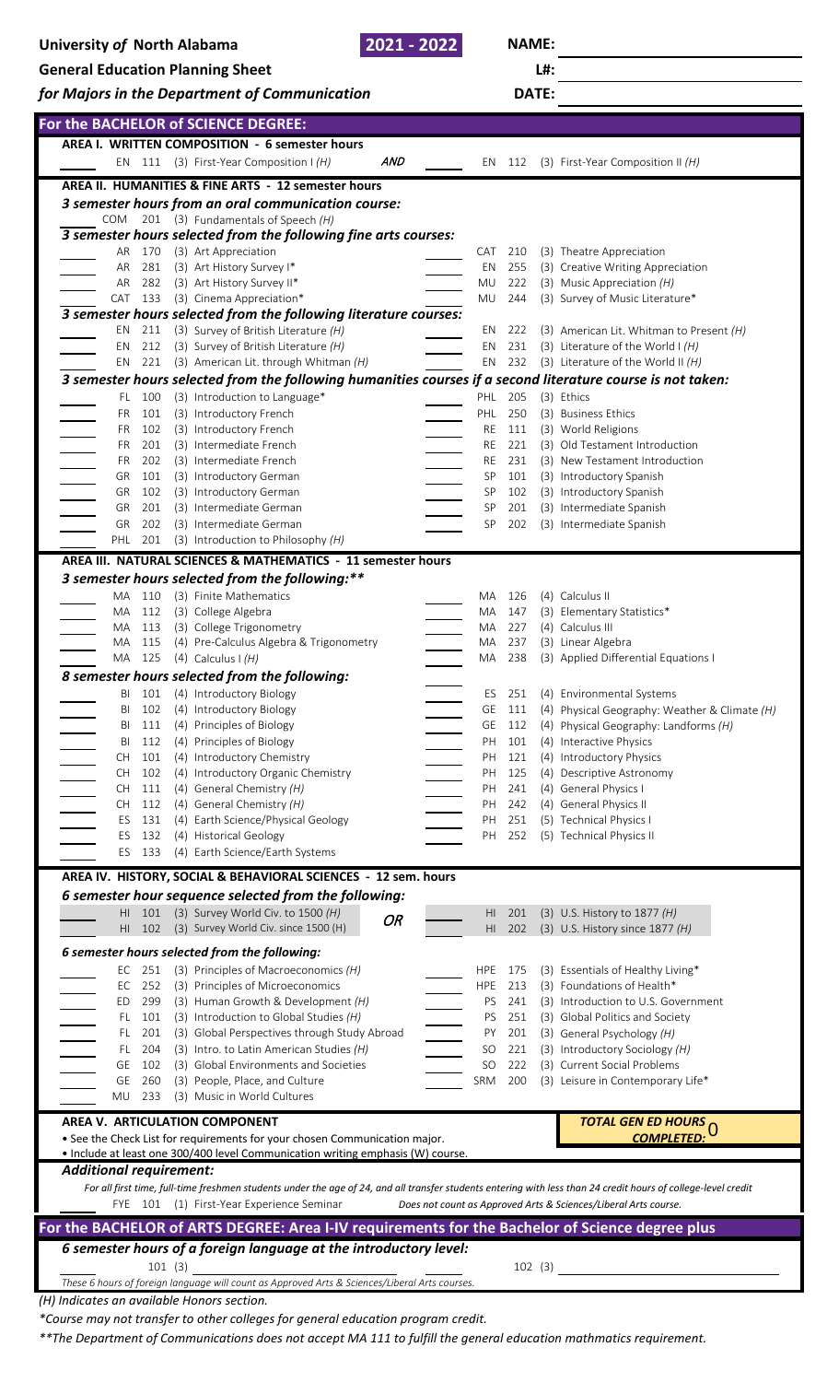| University of North Alabama |                                         |               |  |                                                                                                           | 2021 - 2022 |  |                  | <b>NAME:</b> |         |                                                                                                                                                                |  |  |  |
|-----------------------------|-----------------------------------------|---------------|--|-----------------------------------------------------------------------------------------------------------|-------------|--|------------------|--------------|---------|----------------------------------------------------------------------------------------------------------------------------------------------------------------|--|--|--|
|                             | <b>General Education Planning Sheet</b> |               |  |                                                                                                           |             |  |                  |              | L#:     |                                                                                                                                                                |  |  |  |
|                             |                                         |               |  | for Majors in the Department of Communication                                                             |             |  |                  |              | DATE:   |                                                                                                                                                                |  |  |  |
|                             |                                         |               |  | For the BACHELOR of SCIENCE DEGREE:                                                                       |             |  |                  |              |         |                                                                                                                                                                |  |  |  |
|                             |                                         |               |  | AREA I. WRITTEN COMPOSITION - 6 semester hours                                                            |             |  |                  |              |         |                                                                                                                                                                |  |  |  |
|                             |                                         |               |  | EN 111 (3) First-Year Composition $H(H)$                                                                  | AND         |  |                  | EN 112       |         | (3) First-Year Composition II (H)                                                                                                                              |  |  |  |
|                             |                                         |               |  | AREA II. HUMANITIES & FINE ARTS - 12 semester hours                                                       |             |  |                  |              |         |                                                                                                                                                                |  |  |  |
|                             |                                         |               |  | 3 semester hours from an oral communication course:                                                       |             |  |                  |              |         |                                                                                                                                                                |  |  |  |
|                             |                                         |               |  | COM 201 (3) Fundamentals of Speech (H)<br>3 semester hours selected from the following fine arts courses: |             |  |                  |              |         |                                                                                                                                                                |  |  |  |
|                             | AR                                      | 170           |  | (3) Art Appreciation                                                                                      |             |  | CAT              | 210          |         | (3) Theatre Appreciation                                                                                                                                       |  |  |  |
| AR                          |                                         | 281           |  | (3) Art History Survey I*                                                                                 |             |  | EN               | 255          |         | (3) Creative Writing Appreciation                                                                                                                              |  |  |  |
|                             | AR                                      | 282           |  | (3) Art History Survey II*                                                                                |             |  | MU               | 222          |         | (3) Music Appreciation $(H)$                                                                                                                                   |  |  |  |
| CAT                         |                                         | 133           |  | (3) Cinema Appreciation*                                                                                  |             |  | MU               | 244          |         | (3) Survey of Music Literature*                                                                                                                                |  |  |  |
| EN                          |                                         | 211           |  | 3 semester hours selected from the following literature courses:<br>(3) Survey of British Literature (H)  |             |  | EN               | 222          |         | (3) American Lit. Whitman to Present (H)                                                                                                                       |  |  |  |
| ΕN                          |                                         | 212           |  | (3) Survey of British Literature (H)                                                                      |             |  | ΕN               | 231          |         | (3) Literature of the World $H(H)$                                                                                                                             |  |  |  |
| EN                          |                                         | 221           |  | (3) American Lit. through Whitman (H)                                                                     |             |  | EN               |              |         | 232 (3) Literature of the World II $(H)$                                                                                                                       |  |  |  |
|                             |                                         |               |  |                                                                                                           |             |  |                  |              |         | 3 semester hours selected from the following humanities courses if a second literature course is not taken:                                                    |  |  |  |
|                             | FL.                                     | 100           |  | (3) Introduction to Language*                                                                             |             |  | PHL              | 205          |         | (3) Ethics                                                                                                                                                     |  |  |  |
|                             | FR.                                     | 101           |  | (3) Introductory French                                                                                   |             |  | PHL              | 250          |         | (3) Business Ethics                                                                                                                                            |  |  |  |
|                             | FR.                                     | 102           |  | (3) Introductory French                                                                                   |             |  | RE               | 111          |         | (3) World Religions                                                                                                                                            |  |  |  |
|                             | FR.<br><b>FR</b>                        | 201<br>202    |  | (3) Intermediate French<br>(3) Intermediate French                                                        |             |  | RE<br>RE         | 221<br>231   |         | (3) Old Testament Introduction<br>(3) New Testament Introduction                                                                                               |  |  |  |
| GR                          |                                         | 101           |  | (3) Introductory German                                                                                   |             |  | SP               | 101          |         | (3) Introductory Spanish                                                                                                                                       |  |  |  |
| GR                          |                                         | 102           |  | (3) Introductory German                                                                                   |             |  | SP               | 102          |         | (3) Introductory Spanish                                                                                                                                       |  |  |  |
| GR                          |                                         | 201           |  | (3) Intermediate German                                                                                   |             |  | SP               | 201          |         | (3) Intermediate Spanish                                                                                                                                       |  |  |  |
| GR                          |                                         | 202           |  | (3) Intermediate German                                                                                   |             |  | SP               | 202          |         | (3) Intermediate Spanish                                                                                                                                       |  |  |  |
|                             |                                         |               |  | PHL 201 (3) Introduction to Philosophy (H)                                                                |             |  |                  |              |         |                                                                                                                                                                |  |  |  |
|                             |                                         |               |  | AREA III. NATURAL SCIENCES & MATHEMATICS - 11 semester hours                                              |             |  |                  |              |         |                                                                                                                                                                |  |  |  |
|                             |                                         |               |  | 3 semester hours selected from the following:**                                                           |             |  |                  |              |         |                                                                                                                                                                |  |  |  |
| MA                          |                                         | 110           |  | (3) Finite Mathematics                                                                                    |             |  | MA               | - 126        |         | (4) Calculus II                                                                                                                                                |  |  |  |
| MA                          |                                         | 112           |  | (3) College Algebra                                                                                       |             |  | МA               | 147<br>227   |         | (3) Elementary Statistics*<br>(4) Calculus III                                                                                                                 |  |  |  |
| МA                          |                                         | 113<br>115    |  | (3) College Trigonometry<br>(4) Pre-Calculus Algebra & Trigonometry                                       |             |  | MA<br>MA         | 237          |         | (3) Linear Algebra                                                                                                                                             |  |  |  |
| MA                          |                                         | 125           |  | (4) Calculus I $(H)$                                                                                      |             |  | MA               | 238          |         | (3) Applied Differential Equations I                                                                                                                           |  |  |  |
|                             |                                         |               |  | 8 semester hours selected from the following:                                                             |             |  |                  |              |         |                                                                                                                                                                |  |  |  |
|                             | BI                                      | 101           |  | (4) Introductory Biology                                                                                  |             |  | ES               | 251          |         | (4) Environmental Systems                                                                                                                                      |  |  |  |
|                             | BI                                      | 102           |  | (4) Introductory Biology                                                                                  |             |  | GE               | 111          |         | (4) Physical Geography: Weather & Climate (H)                                                                                                                  |  |  |  |
|                             | BI                                      | 111           |  | (4) Principles of Biology                                                                                 |             |  | GE               | 112          |         | (4) Physical Geography: Landforms (H)                                                                                                                          |  |  |  |
|                             | BI                                      | 112           |  | (4) Principles of Biology<br>(4) Introductory Chemistry                                                   |             |  | PH               | 101          |         | (4) Interactive Physics                                                                                                                                        |  |  |  |
| <b>CH</b><br><b>CH</b>      |                                         | 101<br>102    |  | (4) Introductory Organic Chemistry                                                                        |             |  | PH<br>PH         | 121<br>125   |         | (4) Introductory Physics<br>(4) Descriptive Astronomy                                                                                                          |  |  |  |
| <b>CH</b>                   |                                         | 111           |  | (4) General Chemistry (H)                                                                                 |             |  | PH               | 241          |         | (4) General Physics I                                                                                                                                          |  |  |  |
| <b>CH</b>                   |                                         | 112           |  | (4) General Chemistry $(H)$                                                                               |             |  | PH               | 242          |         | (4) General Physics II                                                                                                                                         |  |  |  |
|                             | ES                                      | 131           |  | (4) Earth Science/Physical Geology                                                                        |             |  | PH               | 251          |         | (5) Technical Physics I                                                                                                                                        |  |  |  |
|                             | ES                                      | 132           |  | (4) Historical Geology                                                                                    |             |  | PH               | 252          |         | (5) Technical Physics II                                                                                                                                       |  |  |  |
|                             |                                         | ES 133        |  | (4) Earth Science/Earth Systems                                                                           |             |  |                  |              |         |                                                                                                                                                                |  |  |  |
|                             |                                         |               |  | AREA IV. HISTORY, SOCIAL & BEHAVIORAL SCIENCES - 12 sem. hours                                            |             |  |                  |              |         |                                                                                                                                                                |  |  |  |
|                             |                                         |               |  | 6 semester hour sequence selected from the following:                                                     |             |  |                  |              |         |                                                                                                                                                                |  |  |  |
|                             | HI.                                     |               |  | 101 (3) Survey World Civ. to 1500 (H)                                                                     | OR          |  | HI               | 201          |         | (3) U.S. History to 1877 (H)                                                                                                                                   |  |  |  |
|                             | HI.                                     | 102           |  | (3) Survey World Civ. since 1500 (H)                                                                      |             |  | HI.              | 202          |         | (3) U.S. History since $1877$ (H)                                                                                                                              |  |  |  |
|                             |                                         |               |  | 6 semester hours selected from the following:                                                             |             |  |                  |              |         |                                                                                                                                                                |  |  |  |
|                             |                                         | EC 251        |  | (3) Principles of Macroeconomics (H)                                                                      |             |  | <b>HPE</b>       | 175          |         | (3) Essentials of Healthy Living*                                                                                                                              |  |  |  |
|                             | EC                                      | 252           |  | (3) Principles of Microeconomics                                                                          |             |  | <b>HPE</b>       | 213          |         | (3) Foundations of Health*                                                                                                                                     |  |  |  |
| ED                          |                                         | 299<br>FL 101 |  | (3) Human Growth & Development (H)<br>(3) Introduction to Global Studies (H)                              |             |  | PS.<br><b>PS</b> | 241<br>251   |         | (3) Introduction to U.S. Government<br>(3) Global Politics and Society                                                                                         |  |  |  |
|                             | FL.                                     | 201           |  | (3) Global Perspectives through Study Abroad                                                              |             |  | PY               | 201          |         | (3) General Psychology (H)                                                                                                                                     |  |  |  |
|                             | FL.                                     | 204           |  | (3) Intro. to Latin American Studies (H)                                                                  |             |  | SO               | 221          |         | (3) Introductory Sociology (H)                                                                                                                                 |  |  |  |
| GE                          |                                         | 102           |  | (3) Global Environments and Societies                                                                     |             |  | SO <sub>1</sub>  | 222          |         | (3) Current Social Problems                                                                                                                                    |  |  |  |
| GE                          |                                         | 260           |  | (3) People, Place, and Culture                                                                            |             |  | <b>SRM</b>       | 200          |         | (3) Leisure in Contemporary Life*                                                                                                                              |  |  |  |
| MU                          |                                         | 233           |  | (3) Music in World Cultures                                                                               |             |  |                  |              |         |                                                                                                                                                                |  |  |  |
|                             |                                         |               |  | AREA V. ARTICULATION COMPONENT                                                                            |             |  |                  |              |         | TOTAL GEN ED HOURS                                                                                                                                             |  |  |  |
|                             |                                         |               |  | • See the Check List for requirements for your chosen Communication major.                                |             |  |                  | COMPLETED: U |         |                                                                                                                                                                |  |  |  |
|                             |                                         |               |  | . Include at least one 300/400 level Communication writing emphasis (W) course.                           |             |  |                  |              |         |                                                                                                                                                                |  |  |  |
|                             | <b>Additional requirement:</b>          |               |  |                                                                                                           |             |  |                  |              |         |                                                                                                                                                                |  |  |  |
|                             |                                         |               |  |                                                                                                           |             |  |                  |              |         | For all first time, full-time freshmen students under the age of 24, and all transfer students entering with less than 24 credit hours of college-level credit |  |  |  |
|                             |                                         |               |  | FYE 101 (1) First-Year Experience Seminar                                                                 |             |  |                  |              |         | Does not count as Approved Arts & Sciences/Liberal Arts course.                                                                                                |  |  |  |
|                             |                                         |               |  |                                                                                                           |             |  |                  |              |         | For the BACHELOR of ARTS DEGREE: Area I-IV requirements for the Bachelor of Science degree plus                                                                |  |  |  |
|                             |                                         |               |  | 6 semester hours of a foreign language at the introductory level:                                         |             |  |                  |              |         |                                                                                                                                                                |  |  |  |
|                             |                                         | 101 (3)       |  |                                                                                                           |             |  |                  |              | 102 (3) |                                                                                                                                                                |  |  |  |
|                             |                                         |               |  | These 6 hours of foreign language will count as Approved Arts & Sciences/Liberal Arts courses.            |             |  |                  |              |         |                                                                                                                                                                |  |  |  |

*(H) Indicates an available Honors section.*

*\*Course may not transfer to other colleges for general education program credit.*

*\*\*The Department of Communications does not accept MA 111 to fulfill the general education mathmatics requirement.*